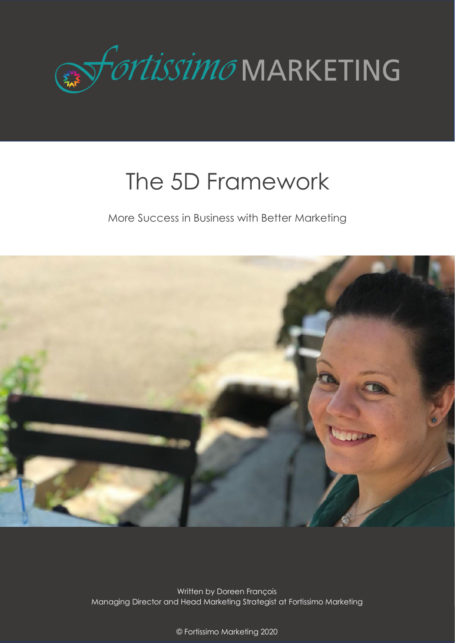

# The 5D Framework

More Success in Business with Better Marketing



Written by Doreen François Managing Director and Head Marketing Strategist at Fortissimo Marketing

> $10^{\circ}$  which is not approximately in the computation of  $\sim$ © Fortissimo Marketing 2020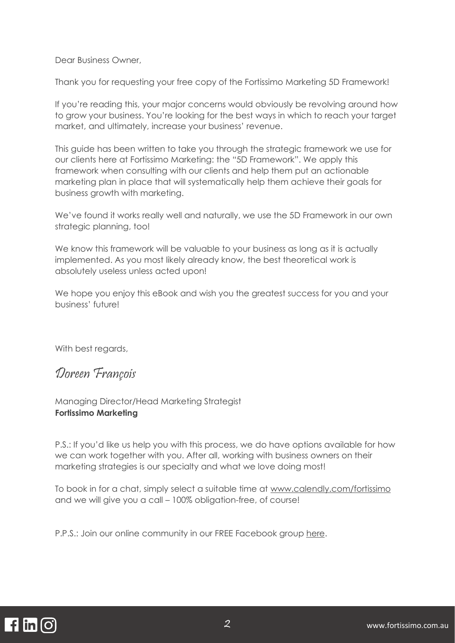Dear Business Owner,

Thank you for requesting your free copy of the Fortissimo Marketing 5D Framework!

If you're reading this, your major concerns would obviously be revolving around how to grow your business. You're looking for the best ways in which to reach your target market, and ultimately, increase your business' revenue.

This guide has been written to take you through the strategic framework we use for our clients here at Fortissimo Marketing: the "5D Framework". We apply this framework when consulting with our clients and help them put an actionable marketing plan in place that will systematically help them achieve their goals for business growth with marketing.

We've found it works really well and naturally, we use the 5D Framework in our own strategic planning, too!

We know this framework will be valuable to your business as long as it is actually implemented. As you most likely already know, the best theoretical work is absolutely useless unless acted upon!

We hope you enjoy this eBook and wish you the greatest success for you and your business' future!

With best regards,

#### Doreen François

Managing Director/Head Marketing Strategist **Fortissimo Marketing**

P.S.: If you'd like us help you with this process, we do have options available for how we can work together with you. After all, working with business owners on their marketing strategies is our specialty and what we love doing most!

To book in for a chat, simply select a suitable time at [www.calendly.com/fortissimo](http://www.calendly.com/fortissimo) and we will give you a call – 100% obligation-free, of course!

P.P.S.: Join our online community in our FREE Facebook group [here.](http://www.facebook.com/groups/fortissimomarketing)

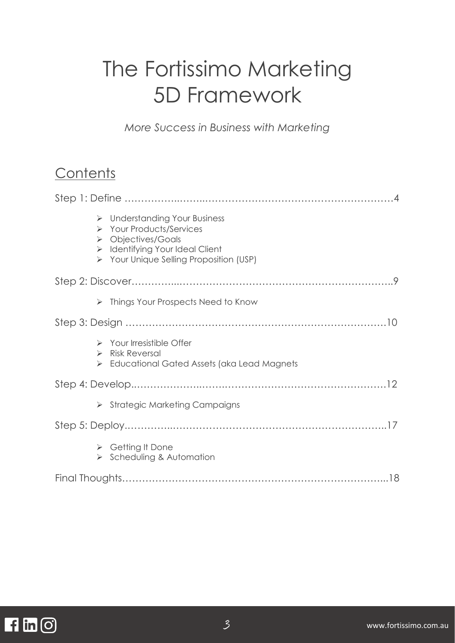## The Fortissimo Marketing 5D Framework

*More Success in Business with Marketing*

## **Contents**

| $\triangleright$ Understanding Your Business<br>> Your Products/Services<br>$\triangleright$ Objectives/Goals<br>$\triangleright$ Identifying Your Ideal Client<br>> Your Unique Selling Proposition (USP) |  |
|------------------------------------------------------------------------------------------------------------------------------------------------------------------------------------------------------------|--|
|                                                                                                                                                                                                            |  |
| $\triangleright$ Things Your Prospects Need to Know                                                                                                                                                        |  |
|                                                                                                                                                                                                            |  |
| $\triangleright$ Your Irresistible Offer<br>$\triangleright$ Risk Reversal<br>$\triangleright$ Educational Gated Assets (aka Lead Magnets                                                                  |  |
|                                                                                                                                                                                                            |  |
| $\triangleright$ Strategic Marketing Campaigns                                                                                                                                                             |  |
|                                                                                                                                                                                                            |  |
| $\triangleright$ Getting It Done<br>$\triangleright$ Scheduling & Automation                                                                                                                               |  |
|                                                                                                                                                                                                            |  |

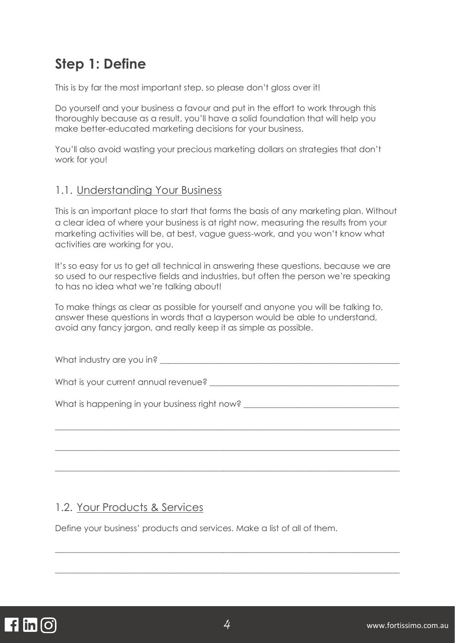## **Step 1: Define**

This is by far the most important step, so please don't gloss over it!

Do yourself and your business a favour and put in the effort to work through this thoroughly because as a result, you'll have a solid foundation that will help you make better-educated marketing decisions for your business.

You'll also avoid wasting your precious marketing dollars on strategies that don't work for you!

#### 1.1. Understanding Your Business

This is an important place to start that forms the basis of any marketing plan. Without a clear idea of where your business is at right now, measuring the results from your marketing activities will be, at best, vague guess-work, and you won't know what activities are working for you.

It's so easy for us to get all technical in answering these questions, because we are so used to our respective fields and industries, but often the person we're speaking to has no idea what we're talking about!

To make things as clear as possible for yourself and anyone you will be talking to, answer these questions in words that a layperson would be able to understand, avoid any fancy jargon, and really keep it as simple as possible.

| What industry are you in? Notified that the state of the state of the state of the state of the state of the state of the state of the state of the state of the state of the state of the state of the state of the state of |
|-------------------------------------------------------------------------------------------------------------------------------------------------------------------------------------------------------------------------------|
| What is your current annual revenue? Letter that the contract of the contract of the contract of the contract of the contract of the contract of the contract of the contract of the contract of the contract of the contract |
| What is happening in your business right now? __________________________________                                                                                                                                              |
|                                                                                                                                                                                                                               |
|                                                                                                                                                                                                                               |

#### 1.2. Your Products & Services

Define your business' products and services. Make a list of all of them.

\_\_\_\_\_\_\_\_\_\_\_\_\_\_\_\_\_\_\_\_\_\_\_\_\_\_\_\_\_\_\_\_\_\_\_\_\_\_\_\_\_\_\_\_\_\_\_\_\_\_\_\_\_\_\_\_\_\_\_\_\_\_\_\_\_\_\_\_\_\_\_\_\_\_\_\_\_\_\_\_\_\_

\_\_\_\_\_\_\_\_\_\_\_\_\_\_\_\_\_\_\_\_\_\_\_\_\_\_\_\_\_\_\_\_\_\_\_\_\_\_\_\_\_\_\_\_\_\_\_\_\_\_\_\_\_\_\_\_\_\_\_\_\_\_\_\_\_\_\_\_\_\_\_\_\_\_\_\_\_\_\_\_\_\_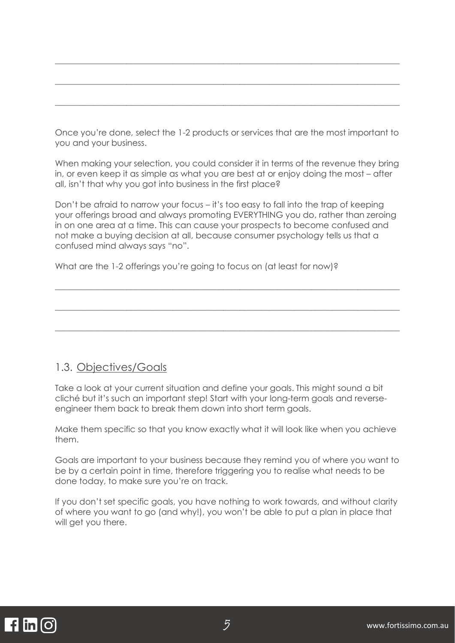Once you're done, select the 1-2 products or services that are the most important to you and your business.

\_\_\_\_\_\_\_\_\_\_\_\_\_\_\_\_\_\_\_\_\_\_\_\_\_\_\_\_\_\_\_\_\_\_\_\_\_\_\_\_\_\_\_\_\_\_\_\_\_\_\_\_\_\_\_\_\_\_\_\_\_\_\_\_\_\_\_\_\_\_\_\_\_\_\_\_\_\_\_\_\_\_

\_\_\_\_\_\_\_\_\_\_\_\_\_\_\_\_\_\_\_\_\_\_\_\_\_\_\_\_\_\_\_\_\_\_\_\_\_\_\_\_\_\_\_\_\_\_\_\_\_\_\_\_\_\_\_\_\_\_\_\_\_\_\_\_\_\_\_\_\_\_\_\_\_\_\_\_\_\_\_\_\_\_

 $\_$  , and the set of the set of the set of the set of the set of the set of the set of the set of the set of the set of the set of the set of the set of the set of the set of the set of the set of the set of the set of th

When making your selection, you could consider it in terms of the revenue they bring in, or even keep it as simple as what you are best at or enjoy doing the most – after all, isn't that why you got into business in the first place?

Don't be afraid to narrow your focus – it's too easy to fall into the trap of keeping your offerings broad and always promoting EVERYTHING you do, rather than zeroing in on one area at a time. This can cause your prospects to become confused and not make a buying decision at all, because consumer psychology tells us that a confused mind always says "no".

\_\_\_\_\_\_\_\_\_\_\_\_\_\_\_\_\_\_\_\_\_\_\_\_\_\_\_\_\_\_\_\_\_\_\_\_\_\_\_\_\_\_\_\_\_\_\_\_\_\_\_\_\_\_\_\_\_\_\_\_\_\_\_\_\_\_\_\_\_\_\_\_\_\_\_\_\_\_\_\_\_\_

\_\_\_\_\_\_\_\_\_\_\_\_\_\_\_\_\_\_\_\_\_\_\_\_\_\_\_\_\_\_\_\_\_\_\_\_\_\_\_\_\_\_\_\_\_\_\_\_\_\_\_\_\_\_\_\_\_\_\_\_\_\_\_\_\_\_\_\_\_\_\_\_\_\_\_\_\_\_\_\_\_\_

\_\_\_\_\_\_\_\_\_\_\_\_\_\_\_\_\_\_\_\_\_\_\_\_\_\_\_\_\_\_\_\_\_\_\_\_\_\_\_\_\_\_\_\_\_\_\_\_\_\_\_\_\_\_\_\_\_\_\_\_\_\_\_\_\_\_\_\_\_\_\_\_\_\_\_\_\_\_\_\_\_\_

What are the 1-2 offerings you're going to focus on (at least for now)?

#### 1.3. Objectives/Goals

Take a look at your current situation and define your goals. This might sound a bit cliché but it's such an important step! Start with your long-term goals and reverseengineer them back to break them down into short term goals.

Make them specific so that you know exactly what it will look like when you achieve them.

Goals are important to your business because they remind you of where you want to be by a certain point in time, therefore triggering you to realise what needs to be done today, to make sure you're on track.

If you don't set specific goals, you have nothing to work towards, and without clarity of where you want to go (and why!), you won't be able to put a plan in place that will get you there.

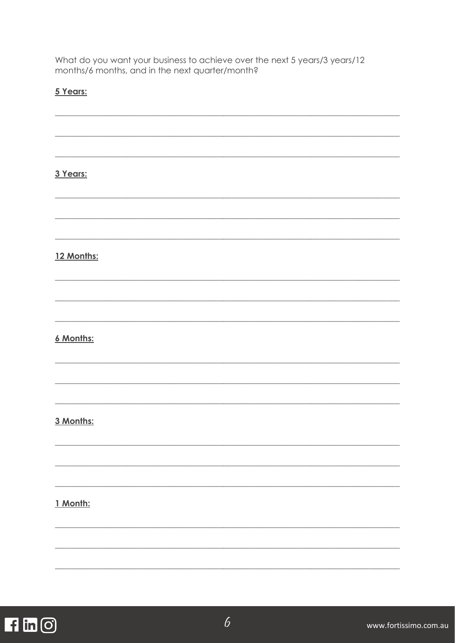What do you want your business to achieve over the next 5 years/3 years/12 months/6 months, and in the next quarter/month?

#### 5 Years:

| 3 Years:   |  |  |  |
|------------|--|--|--|
|            |  |  |  |
|            |  |  |  |
|            |  |  |  |
|            |  |  |  |
| 12 Months: |  |  |  |
|            |  |  |  |
|            |  |  |  |
|            |  |  |  |
|            |  |  |  |
| 6 Months:  |  |  |  |
|            |  |  |  |
|            |  |  |  |
|            |  |  |  |
|            |  |  |  |
| 3 Months:  |  |  |  |
|            |  |  |  |
|            |  |  |  |
|            |  |  |  |
|            |  |  |  |
| 1 Month:   |  |  |  |
|            |  |  |  |
|            |  |  |  |
|            |  |  |  |
|            |  |  |  |

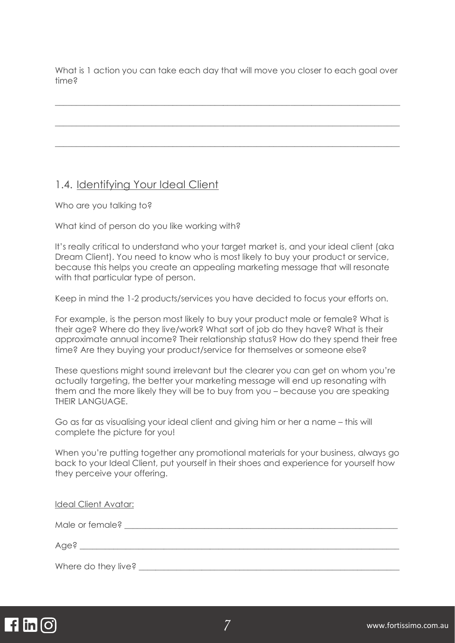What is 1 action you can take each day that will move you closer to each goal over time?

 $\_$  , and the set of the set of the set of the set of the set of the set of the set of the set of the set of the set of the set of the set of the set of the set of the set of the set of the set of the set of the set of th

\_\_\_\_\_\_\_\_\_\_\_\_\_\_\_\_\_\_\_\_\_\_\_\_\_\_\_\_\_\_\_\_\_\_\_\_\_\_\_\_\_\_\_\_\_\_\_\_\_\_\_\_\_\_\_\_\_\_\_\_\_\_\_\_\_\_\_\_\_\_\_\_\_\_\_\_\_\_\_\_\_\_

 $\_$  , and the set of the set of the set of the set of the set of the set of the set of the set of the set of the set of the set of the set of the set of the set of the set of the set of the set of the set of the set of th

#### 1.4. Identifying Your Ideal Client

Who are you talking to?

What kind of person do you like working with?

It's really critical to understand who your target market is, and your ideal client (aka Dream Client). You need to know who is most likely to buy your product or service, because this helps you create an appealing marketing message that will resonate with that particular type of person.

Keep in mind the 1-2 products/services you have decided to focus your efforts on.

For example, is the person most likely to buy your product male or female? What is their age? Where do they live/work? What sort of job do they have? What is their approximate annual income? Their relationship status? How do they spend their free time? Are they buying your product/service for themselves or someone else?

These questions might sound irrelevant but the clearer you can get on whom you're actually targeting, the better your marketing message will end up resonating with them and the more likely they will be to buy from you – because you are speaking THEIR LANGUAGE.

Go as far as visualising your ideal client and giving him or her a name – this will complete the picture for you!

When you're putting together any promotional materials for your business, always go back to your Ideal Client, put yourself in their shoes and experience for yourself how they perceive your offering.

Ideal Client Avatar:

Male or female? \_\_\_\_\_\_\_\_\_\_\_\_\_\_\_\_\_\_\_\_\_\_\_\_\_\_\_\_\_\_\_\_\_\_\_\_\_\_\_\_\_\_\_\_\_\_\_\_\_\_\_\_\_\_\_\_\_\_\_\_\_\_\_\_\_

 $Age?$ 

Where do they live?

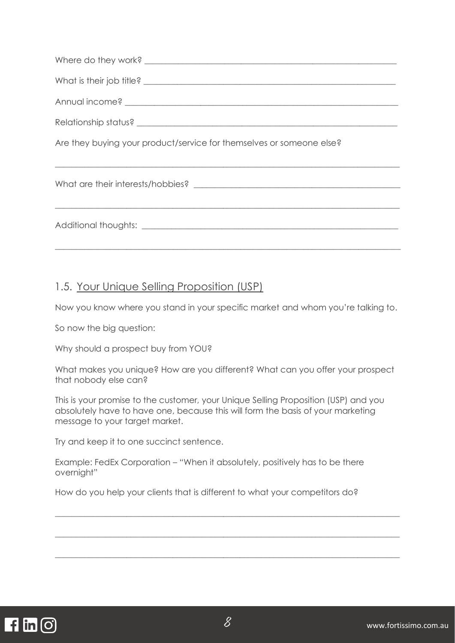| Are they buying your product/service for themselves or someone else? |
|----------------------------------------------------------------------|
|                                                                      |
|                                                                      |

#### 1.5. Your Unique Selling Proposition (USP)

Now you know where you stand in your specific market and whom you're talking to.

So now the big question:

Why should a prospect buy from YOU?

What makes you unique? How are you different? What can you offer your prospect that nobody else can?

This is your promise to the customer, your Unique Selling Proposition (USP) and you absolutely have to have one, because this will form the basis of your marketing message to your target market.

Try and keep it to one succinct sentence.

Example: FedEx Corporation – "When it absolutely, positively has to be there overnight"

How do you help your clients that is different to what your competitors do?



 $\_$  , and the set of the set of the set of the set of the set of the set of the set of the set of the set of the set of the set of the set of the set of the set of the set of the set of the set of the set of the set of th

 $\_$  , and the set of the set of the set of the set of the set of the set of the set of the set of the set of the set of the set of the set of the set of the set of the set of the set of the set of the set of the set of th

 $\_$  , and the set of the set of the set of the set of the set of the set of the set of the set of the set of the set of the set of the set of the set of the set of the set of the set of the set of the set of the set of th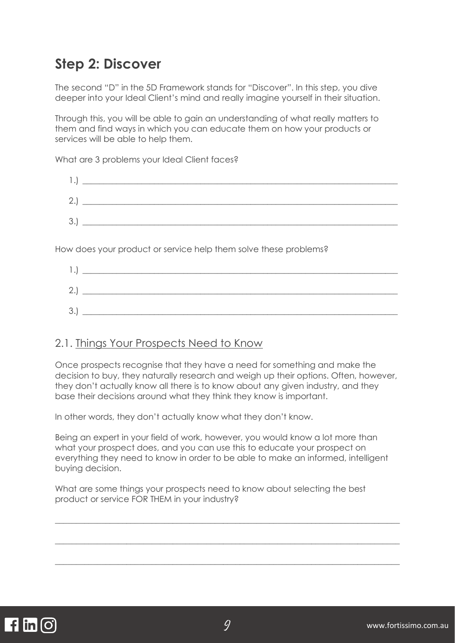## **Step 2: Discover**

The second "D" in the 5D Framework stands for "Discover". In this step, you dive deeper into your Ideal Client's mind and really imagine yourself in their situation.

Through this, you will be able to gain an understanding of what really matters to them and find ways in which you can educate them on how your products or services will be able to help them.

What are 3 problems your Ideal Client faces?

| 1.  | <u> 1980 - Jan Sterling von de Sterling von de Sterling von de Sterling von de Sterling von de Sterling von de S</u> |  |  |
|-----|----------------------------------------------------------------------------------------------------------------------|--|--|
| 2.) |                                                                                                                      |  |  |
| 3.) | <u> 1989 - John Stone, Amerikaansk politiker (</u>                                                                   |  |  |

How does your product or service help them solve these problems?

| 2<br><u>_</u> |  |
|---------------|--|
| 3.            |  |

#### 2.1. Things Your Prospects Need to Know

Once prospects recognise that they have a need for something and make the decision to buy, they naturally research and weigh up their options. Often, however, they don't actually know all there is to know about any given industry, and they base their decisions around what they think they know is important.

In other words, they don't actually know what they don't know.

Being an expert in your field of work, however, you would know a lot more than what your prospect does, and you can use this to educate your prospect on everything they need to know in order to be able to make an informed, intelligent buying decision.

 $\_$  , and the set of the set of the set of the set of the set of the set of the set of the set of the set of the set of the set of the set of the set of the set of the set of the set of the set of the set of the set of th

\_\_\_\_\_\_\_\_\_\_\_\_\_\_\_\_\_\_\_\_\_\_\_\_\_\_\_\_\_\_\_\_\_\_\_\_\_\_\_\_\_\_\_\_\_\_\_\_\_\_\_\_\_\_\_\_\_\_\_\_\_\_\_\_\_\_\_\_\_\_\_\_\_\_\_\_\_\_\_\_\_\_

\_\_\_\_\_\_\_\_\_\_\_\_\_\_\_\_\_\_\_\_\_\_\_\_\_\_\_\_\_\_\_\_\_\_\_\_\_\_\_\_\_\_\_\_\_\_\_\_\_\_\_\_\_\_\_\_\_\_\_\_\_\_\_\_\_\_\_\_\_\_\_\_\_\_\_\_\_\_\_\_\_\_

What are some things your prospects need to know about selecting the best product or service FOR THEM in your industry?

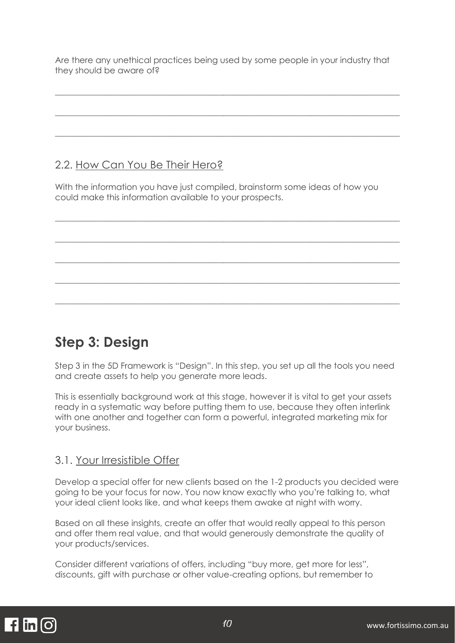Are there any unethical practices being used by some people in your industry that they should be aware of?

\_\_\_\_\_\_\_\_\_\_\_\_\_\_\_\_\_\_\_\_\_\_\_\_\_\_\_\_\_\_\_\_\_\_\_\_\_\_\_\_\_\_\_\_\_\_\_\_\_\_\_\_\_\_\_\_\_\_\_\_\_\_\_\_\_\_\_\_\_\_\_\_\_\_\_\_\_\_\_\_\_\_

 $\_$  , and the set of the set of the set of the set of the set of the set of the set of the set of the set of the set of the set of the set of the set of the set of the set of the set of the set of the set of the set of th

\_\_\_\_\_\_\_\_\_\_\_\_\_\_\_\_\_\_\_\_\_\_\_\_\_\_\_\_\_\_\_\_\_\_\_\_\_\_\_\_\_\_\_\_\_\_\_\_\_\_\_\_\_\_\_\_\_\_\_\_\_\_\_\_\_\_\_\_\_\_\_\_\_\_\_\_\_\_\_\_\_\_

#### 2.2. How Can You Be Their Hero?

With the information you have just compiled, brainstorm some ideas of how you could make this information available to your prospects.

\_\_\_\_\_\_\_\_\_\_\_\_\_\_\_\_\_\_\_\_\_\_\_\_\_\_\_\_\_\_\_\_\_\_\_\_\_\_\_\_\_\_\_\_\_\_\_\_\_\_\_\_\_\_\_\_\_\_\_\_\_\_\_\_\_\_\_\_\_\_\_\_\_\_\_\_\_\_\_\_\_\_

\_\_\_\_\_\_\_\_\_\_\_\_\_\_\_\_\_\_\_\_\_\_\_\_\_\_\_\_\_\_\_\_\_\_\_\_\_\_\_\_\_\_\_\_\_\_\_\_\_\_\_\_\_\_\_\_\_\_\_\_\_\_\_\_\_\_\_\_\_\_\_\_\_\_\_\_\_\_\_\_\_\_

\_\_\_\_\_\_\_\_\_\_\_\_\_\_\_\_\_\_\_\_\_\_\_\_\_\_\_\_\_\_\_\_\_\_\_\_\_\_\_\_\_\_\_\_\_\_\_\_\_\_\_\_\_\_\_\_\_\_\_\_\_\_\_\_\_\_\_\_\_\_\_\_\_\_\_\_\_\_\_\_\_\_

\_\_\_\_\_\_\_\_\_\_\_\_\_\_\_\_\_\_\_\_\_\_\_\_\_\_\_\_\_\_\_\_\_\_\_\_\_\_\_\_\_\_\_\_\_\_\_\_\_\_\_\_\_\_\_\_\_\_\_\_\_\_\_\_\_\_\_\_\_\_\_\_\_\_\_\_\_\_\_\_\_\_

\_\_\_\_\_\_\_\_\_\_\_\_\_\_\_\_\_\_\_\_\_\_\_\_\_\_\_\_\_\_\_\_\_\_\_\_\_\_\_\_\_\_\_\_\_\_\_\_\_\_\_\_\_\_\_\_\_\_\_\_\_\_\_\_\_\_\_\_\_\_\_\_\_\_\_\_\_\_\_\_\_\_

## **Step 3: Design**

Step 3 in the 5D Framework is "Design". In this step, you set up all the tools you need and create assets to help you generate more leads.

This is essentially background work at this stage, however it is vital to get your assets ready in a systematic way before putting them to use, because they often interlink with one another and together can form a powerful, integrated marketing mix for your business.

#### 3.1. Your Irresistible Offer

Develop a special offer for new clients based on the 1-2 products you decided were going to be your focus for now. You now know exactly who you're talking to, what your ideal client looks like, and what keeps them awake at night with worry.

Based on all these insights, create an offer that would really appeal to this person and offer them real value, and that would generously demonstrate the quality of your products/services.

Consider different variations of offers, including "buy more, get more for less", discounts, gift with purchase or other value-creating options, but remember to

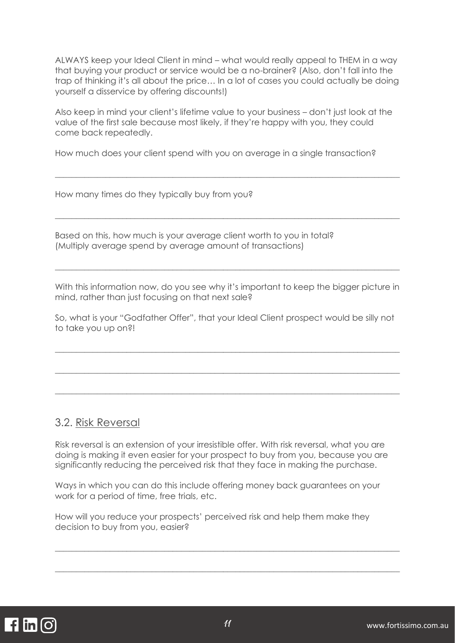ALWAYS keep your Ideal Client in mind – what would really appeal to THEM in a way that buying your product or service would be a no-brainer? (Also, don't fall into the trap of thinking it's all about the price… In a lot of cases you could actually be doing yourself a disservice by offering discounts!)

Also keep in mind your client's lifetime value to your business – don't just look at the value of the first sale because most likely, if they're happy with you, they could come back repeatedly.

\_\_\_\_\_\_\_\_\_\_\_\_\_\_\_\_\_\_\_\_\_\_\_\_\_\_\_\_\_\_\_\_\_\_\_\_\_\_\_\_\_\_\_\_\_\_\_\_\_\_\_\_\_\_\_\_\_\_\_\_\_\_\_\_\_\_\_\_\_\_\_\_\_\_\_\_\_\_\_\_\_\_

\_\_\_\_\_\_\_\_\_\_\_\_\_\_\_\_\_\_\_\_\_\_\_\_\_\_\_\_\_\_\_\_\_\_\_\_\_\_\_\_\_\_\_\_\_\_\_\_\_\_\_\_\_\_\_\_\_\_\_\_\_\_\_\_\_\_\_\_\_\_\_\_\_\_\_\_\_\_\_\_\_\_

How much does your client spend with you on average in a single transaction?

How many times do they typically buy from you?

Based on this, how much is your average client worth to you in total? (Multiply average spend by average amount of transactions)

With this information now, do you see why it's important to keep the bigger picture in mind, rather than just focusing on that next sale?

\_\_\_\_\_\_\_\_\_\_\_\_\_\_\_\_\_\_\_\_\_\_\_\_\_\_\_\_\_\_\_\_\_\_\_\_\_\_\_\_\_\_\_\_\_\_\_\_\_\_\_\_\_\_\_\_\_\_\_\_\_\_\_\_\_\_\_\_\_\_\_\_\_\_\_\_\_\_\_\_\_\_

So, what is your "Godfather Offer", that your Ideal Client prospect would be silly not to take you up on?!

\_\_\_\_\_\_\_\_\_\_\_\_\_\_\_\_\_\_\_\_\_\_\_\_\_\_\_\_\_\_\_\_\_\_\_\_\_\_\_\_\_\_\_\_\_\_\_\_\_\_\_\_\_\_\_\_\_\_\_\_\_\_\_\_\_\_\_\_\_\_\_\_\_\_\_\_\_\_\_\_\_\_

\_\_\_\_\_\_\_\_\_\_\_\_\_\_\_\_\_\_\_\_\_\_\_\_\_\_\_\_\_\_\_\_\_\_\_\_\_\_\_\_\_\_\_\_\_\_\_\_\_\_\_\_\_\_\_\_\_\_\_\_\_\_\_\_\_\_\_\_\_\_\_\_\_\_\_\_\_\_\_\_\_\_

\_\_\_\_\_\_\_\_\_\_\_\_\_\_\_\_\_\_\_\_\_\_\_\_\_\_\_\_\_\_\_\_\_\_\_\_\_\_\_\_\_\_\_\_\_\_\_\_\_\_\_\_\_\_\_\_\_\_\_\_\_\_\_\_\_\_\_\_\_\_\_\_\_\_\_\_\_\_\_\_\_\_

#### 3.2. Risk Reversal

Risk reversal is an extension of your irresistible offer. With risk reversal, what you are doing is making it even easier for your prospect to buy from you, because you are significantly reducing the perceived risk that they face in making the purchase.

Ways in which you can do this include offering money back guarantees on your work for a period of time, free trials, etc.

How will you reduce your prospects' perceived risk and help them make they decision to buy from you, easier?



 $\_$  , and the set of the set of the set of the set of the set of the set of the set of the set of the set of the set of the set of the set of the set of the set of the set of the set of the set of the set of the set of th

\_\_\_\_\_\_\_\_\_\_\_\_\_\_\_\_\_\_\_\_\_\_\_\_\_\_\_\_\_\_\_\_\_\_\_\_\_\_\_\_\_\_\_\_\_\_\_\_\_\_\_\_\_\_\_\_\_\_\_\_\_\_\_\_\_\_\_\_\_\_\_\_\_\_\_\_\_\_\_\_\_\_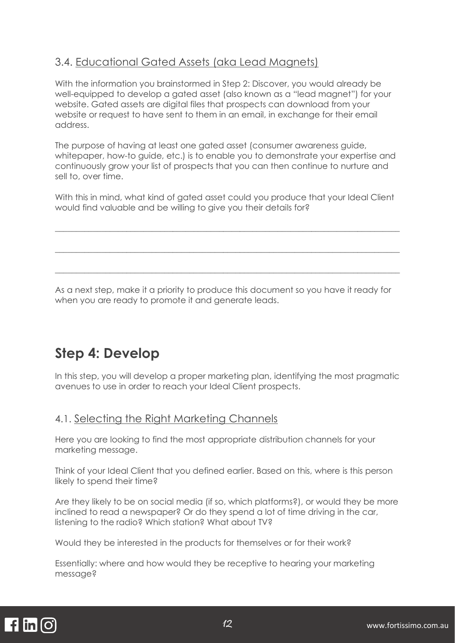#### 3.4. Educational Gated Assets (aka Lead Magnets)

With the information you brainstormed in Step 2: Discover, you would already be well-equipped to develop a gated asset (also known as a "lead magnet") for your website. Gated assets are digital files that prospects can download from your website or request to have sent to them in an email, in exchange for their email address.

The purpose of having at least one gated asset (consumer awareness guide, whitepaper, how-to guide, etc.) is to enable you to demonstrate your expertise and continuously grow your list of prospects that you can then continue to nurture and sell to, over time.

With this in mind, what kind of gated asset could you produce that your Ideal Client would find valuable and be willing to give you their details for?

\_\_\_\_\_\_\_\_\_\_\_\_\_\_\_\_\_\_\_\_\_\_\_\_\_\_\_\_\_\_\_\_\_\_\_\_\_\_\_\_\_\_\_\_\_\_\_\_\_\_\_\_\_\_\_\_\_\_\_\_\_\_\_\_\_\_\_\_\_\_\_\_\_\_\_\_\_\_\_\_\_\_

\_\_\_\_\_\_\_\_\_\_\_\_\_\_\_\_\_\_\_\_\_\_\_\_\_\_\_\_\_\_\_\_\_\_\_\_\_\_\_\_\_\_\_\_\_\_\_\_\_\_\_\_\_\_\_\_\_\_\_\_\_\_\_\_\_\_\_\_\_\_\_\_\_\_\_\_\_\_\_\_\_\_

\_\_\_\_\_\_\_\_\_\_\_\_\_\_\_\_\_\_\_\_\_\_\_\_\_\_\_\_\_\_\_\_\_\_\_\_\_\_\_\_\_\_\_\_\_\_\_\_\_\_\_\_\_\_\_\_\_\_\_\_\_\_\_\_\_\_\_\_\_\_\_\_\_\_\_\_\_\_\_\_\_\_

As a next step, make it a priority to produce this document so you have it ready for when you are ready to promote it and generate leads.

## **Step 4: Develop**

In this step, you will develop a proper marketing plan, identifying the most pragmatic avenues to use in order to reach your Ideal Client prospects.

#### 4.1. Selecting the Right Marketing Channels

Here you are looking to find the most appropriate distribution channels for your marketing message.

Think of your Ideal Client that you defined earlier. Based on this, where is this person likely to spend their time?

Are they likely to be on social media (if so, which platforms?), or would they be more inclined to read a newspaper? Or do they spend a lot of time driving in the car, listening to the radio? Which station? What about TV?

Would they be interested in the products for themselves or for their work?

Essentially: where and how would they be receptive to hearing your marketing message?

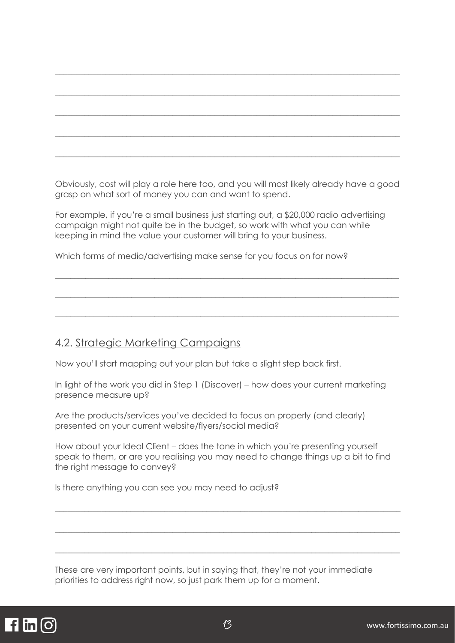Obviously, cost will play a role here too, and you will most likely already have a good grasp on what sort of money you can and want to spend.

\_\_\_\_\_\_\_\_\_\_\_\_\_\_\_\_\_\_\_\_\_\_\_\_\_\_\_\_\_\_\_\_\_\_\_\_\_\_\_\_\_\_\_\_\_\_\_\_\_\_\_\_\_\_\_\_\_\_\_\_\_\_\_\_\_\_\_\_\_\_\_\_\_\_\_\_\_\_\_\_\_\_

\_\_\_\_\_\_\_\_\_\_\_\_\_\_\_\_\_\_\_\_\_\_\_\_\_\_\_\_\_\_\_\_\_\_\_\_\_\_\_\_\_\_\_\_\_\_\_\_\_\_\_\_\_\_\_\_\_\_\_\_\_\_\_\_\_\_\_\_\_\_\_\_\_\_\_\_\_\_\_\_\_\_

 $\_$  , and the set of the set of the set of the set of the set of the set of the set of the set of the set of the set of the set of the set of the set of the set of the set of the set of the set of the set of the set of th

\_\_\_\_\_\_\_\_\_\_\_\_\_\_\_\_\_\_\_\_\_\_\_\_\_\_\_\_\_\_\_\_\_\_\_\_\_\_\_\_\_\_\_\_\_\_\_\_\_\_\_\_\_\_\_\_\_\_\_\_\_\_\_\_\_\_\_\_\_\_\_\_\_\_\_\_\_\_\_\_\_\_

 $\_$  , and the set of the set of the set of the set of the set of the set of the set of the set of the set of the set of the set of the set of the set of the set of the set of the set of the set of the set of the set of th

For example, if you're a small business just starting out, a \$20,000 radio advertising campaign might not quite be in the budget, so work with what you can while keeping in mind the value your customer will bring to your business.

\_\_\_\_\_\_\_\_\_\_\_\_\_\_\_\_\_\_\_\_\_\_\_\_\_\_\_\_\_\_\_\_\_\_\_\_\_\_\_\_\_\_\_\_\_\_\_\_\_\_\_\_\_\_\_\_\_\_\_\_\_\_\_\_\_\_\_\_\_\_\_\_\_\_\_\_\_\_\_\_\_\_\_\_\_\_\_\_\_\_

\_\_\_\_\_\_\_\_\_\_\_\_\_\_\_\_\_\_\_\_\_\_\_\_\_\_\_\_\_\_\_\_\_\_\_\_\_\_\_\_\_\_\_\_\_\_\_\_\_\_\_\_\_\_\_\_\_\_\_\_\_\_\_\_\_\_\_\_\_\_\_\_\_\_\_\_\_\_\_\_\_\_\_\_\_\_\_\_\_\_

\_\_\_\_\_\_\_\_\_\_\_\_\_\_\_\_\_\_\_\_\_\_\_\_\_\_\_\_\_\_\_\_\_\_\_\_\_\_\_\_\_\_\_\_\_\_\_\_\_\_\_\_\_\_\_\_\_\_\_\_\_\_\_\_\_\_\_\_\_\_\_\_\_\_\_\_\_\_\_\_\_\_\_\_\_\_\_\_\_\_

Which forms of media/advertising make sense for you focus on for now?

#### 4.2. Strategic Marketing Campaigns

Now you'll start mapping out your plan but take a slight step back first.

In light of the work you did in Step 1 (Discover) – how does your current marketing presence measure up?

Are the products/services you've decided to focus on properly (and clearly) presented on your current website/flyers/social media?

How about your Ideal Client – does the tone in which you're presenting yourself speak to them, or are you realising you may need to change things up a bit to find the right message to convey?

 $\_$  , and the set of the set of the set of the set of the set of the set of the set of the set of the set of the set of the set of the set of the set of the set of the set of the set of the set of the set of the set of th

\_\_\_\_\_\_\_\_\_\_\_\_\_\_\_\_\_\_\_\_\_\_\_\_\_\_\_\_\_\_\_\_\_\_\_\_\_\_\_\_\_\_\_\_\_\_\_\_\_\_\_\_\_\_\_\_\_\_\_\_\_\_\_\_\_\_\_\_\_\_\_\_\_\_\_\_\_\_\_\_\_\_

 $\_$  , and the set of the set of the set of the set of the set of the set of the set of the set of the set of the set of the set of the set of the set of the set of the set of the set of the set of the set of the set of th

Is there anything you can see you may need to adjust?

These are very important points, but in saying that, they're not your immediate priorities to address right now, so just park them up for a moment.

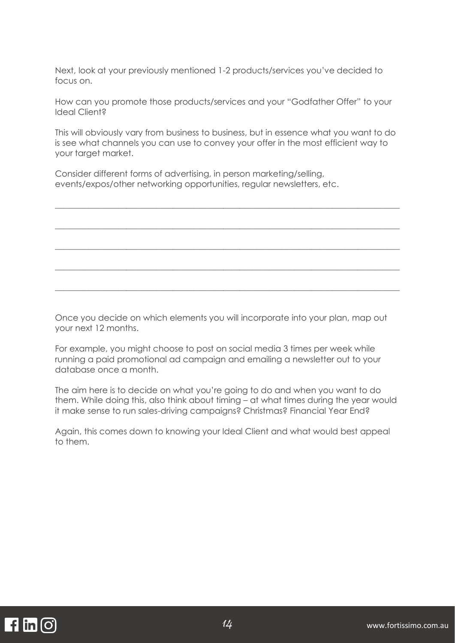Next, look at your previously mentioned 1-2 products/services you've decided to focus on.

How can you promote those products/services and your "Godfather Offer" to your Ideal Client?

This will obviously vary from business to business, but in essence what you want to do is see what channels you can use to convey your offer in the most efficient way to your target market.

 $\_$  , and the set of the set of the set of the set of the set of the set of the set of the set of the set of the set of the set of the set of the set of the set of the set of the set of the set of the set of the set of th

\_\_\_\_\_\_\_\_\_\_\_\_\_\_\_\_\_\_\_\_\_\_\_\_\_\_\_\_\_\_\_\_\_\_\_\_\_\_\_\_\_\_\_\_\_\_\_\_\_\_\_\_\_\_\_\_\_\_\_\_\_\_\_\_\_\_\_\_\_\_\_\_\_\_\_\_\_\_\_\_\_\_

 $\_$  , and the set of the set of the set of the set of the set of the set of the set of the set of the set of the set of the set of the set of the set of the set of the set of the set of the set of the set of the set of th

\_\_\_\_\_\_\_\_\_\_\_\_\_\_\_\_\_\_\_\_\_\_\_\_\_\_\_\_\_\_\_\_\_\_\_\_\_\_\_\_\_\_\_\_\_\_\_\_\_\_\_\_\_\_\_\_\_\_\_\_\_\_\_\_\_\_\_\_\_\_\_\_\_\_\_\_\_\_\_\_\_\_

\_\_\_\_\_\_\_\_\_\_\_\_\_\_\_\_\_\_\_\_\_\_\_\_\_\_\_\_\_\_\_\_\_\_\_\_\_\_\_\_\_\_\_\_\_\_\_\_\_\_\_\_\_\_\_\_\_\_\_\_\_\_\_\_\_\_\_\_\_\_\_\_\_\_\_\_\_\_\_\_\_\_

Consider different forms of advertising, in person marketing/selling, events/expos/other networking opportunities, regular newsletters, etc.

Once you decide on which elements you will incorporate into your plan, map out your next 12 months.

For example, you might choose to post on social media 3 times per week while running a paid promotional ad campaign and emailing a newsletter out to your database once a month.

The aim here is to decide on what you're going to do and when you want to do them. While doing this, also think about timing – at what times during the year would it make sense to run sales-driving campaigns? Christmas? Financial Year End?

Again, this comes down to knowing your Ideal Client and what would best appeal to them.

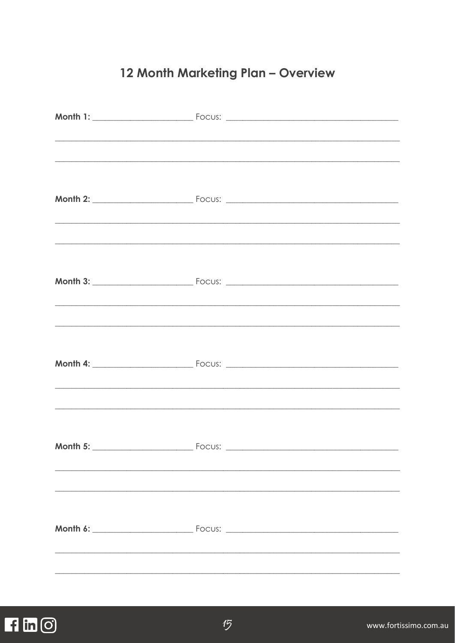### 12 Month Marketing Plan - Overview

|                   | <u> 1999 - Johann Harry Harry Harry Harry Harry Harry Harry Harry Harry Harry Harry Harry Harry Harry Harry Harry H</u>                                                                                                                        |
|-------------------|------------------------------------------------------------------------------------------------------------------------------------------------------------------------------------------------------------------------------------------------|
|                   |                                                                                                                                                                                                                                                |
|                   |                                                                                                                                                                                                                                                |
|                   | <u> 1989 - Johann Harry Harry Harry Harry Harry Harry Harry Harry Harry Harry Harry Harry Harry Harry Harry Harry</u>                                                                                                                          |
|                   | <u> 1989 - Johann Stoff, deutscher Stoff, der Stoff, der Stoff, der Stoff, der Stoff, der Stoff, der Stoff, der S</u><br><u> 1989 - Johann Harry Harry Harry Harry Harry Harry Harry Harry Harry Harry Harry Harry Harry Harry Harry Harry</u> |
| Month 5: ________ | <u> 1989 - Jan James James Barnett, amerikan berlindar (h. 1989).</u>                                                                                                                                                                          |
|                   |                                                                                                                                                                                                                                                |

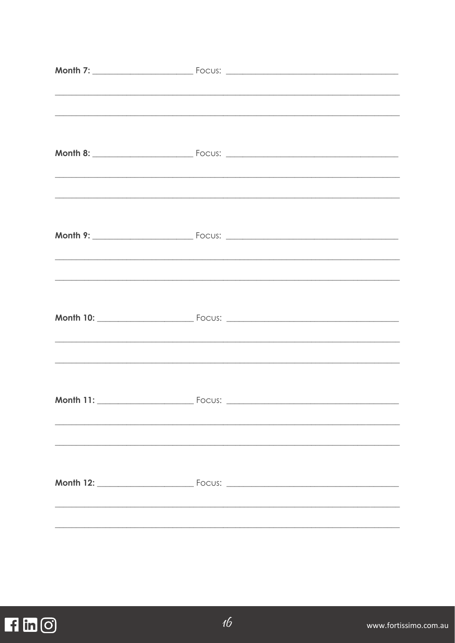| <u> 1999 - Johann Harry Harry Harry Harry Harry Harry Harry Harry Harry Harry Harry Harry Harry Harry Harry Harry H</u> |
|-------------------------------------------------------------------------------------------------------------------------|
| <u> 1999 - Jan James James James James James James James James James James James James James James James James J</u>    |
| <u> 1999 - Jan James James James James James James James James James James James James James James James James J</u>    |
| <u> 1999 - Johann Harry Harry Harry Harry Harry Harry Harry Harry Harry Harry Harry Harry Harry Harry Harry Harry H</u> |
|                                                                                                                         |
|                                                                                                                         |

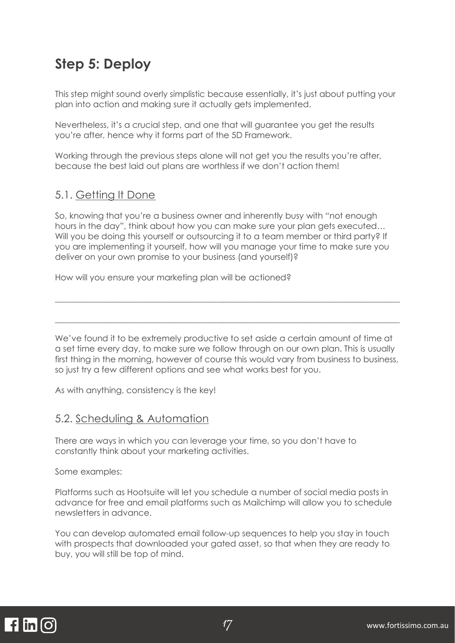## **Step 5: Deploy**

This step might sound overly simplistic because essentially, it's just about putting your plan into action and making sure it actually gets implemented.

Nevertheless, it's a crucial step, and one that will guarantee you get the results you're after, hence why it forms part of the 5D Framework.

Working through the previous steps alone will not get you the results you're after, because the best laid out plans are worthless if we don't action them!

#### 5.1. Getting It Done

So, knowing that you're a business owner and inherently busy with "not enough hours in the day", think about how you can make sure your plan gets executed… Will you be doing this yourself or outsourcing it to a team member or third party? If you are implementing it yourself, how will you manage your time to make sure you deliver on your own promise to your business (and yourself)?

How will you ensure your marketing plan will be actioned?

We've found it to be extremely productive to set aside a certain amount of time at a set time every day, to make sure we follow through on our own plan. This is usually first thing in the morning, however of course this would vary from business to business, so just try a few different options and see what works best for you.

\_\_\_\_\_\_\_\_\_\_\_\_\_\_\_\_\_\_\_\_\_\_\_\_\_\_\_\_\_\_\_\_\_\_\_\_\_\_\_\_\_\_\_\_\_\_\_\_\_\_\_\_\_\_\_\_\_\_\_\_\_\_\_\_\_\_\_\_\_\_\_\_\_\_\_\_\_\_\_\_\_\_

 $\_$  , and the set of the set of the set of the set of the set of the set of the set of the set of the set of the set of the set of the set of the set of the set of the set of the set of the set of the set of the set of th

As with anything, consistency is the key!

#### 5.2. Scheduling & Automation

There are ways in which you can leverage your time, so you don't have to constantly think about your marketing activities.

Some examples:

Platforms such as Hootsuite will let you schedule a number of social media posts in advance for free and email platforms such as Mailchimp will allow you to schedule newsletters in advance.

You can develop automated email follow-up sequences to help you stay in touch with prospects that downloaded your gated asset, so that when they are ready to buy, you will still be top of mind.